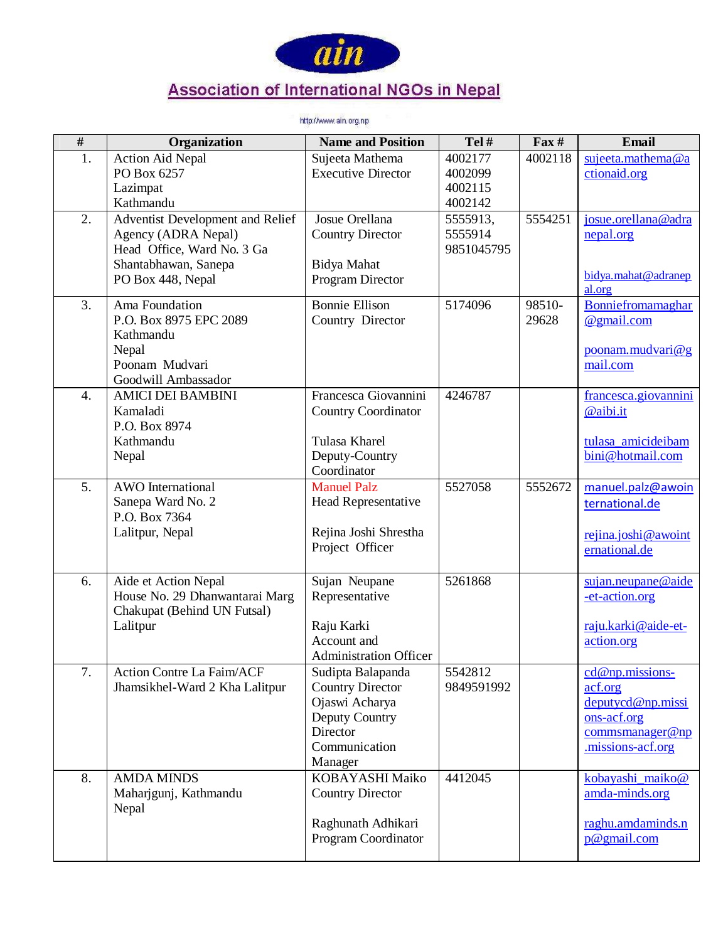

## **Association of International NGOs in Nepal**

http://www.ain.org.np

| $\overline{\#}$  | Organization                         | <b>Name and Position</b>      | Tel#       | $\mathbf{F}$ ax # | Email                             |
|------------------|--------------------------------------|-------------------------------|------------|-------------------|-----------------------------------|
| 1.               | <b>Action Aid Nepal</b>              | Sujeeta Mathema               | 4002177    | 4002118           | sujeeta.mathema@a                 |
|                  | PO Box 6257                          | <b>Executive Director</b>     | 4002099    |                   | ctionaid.org                      |
|                  | Lazimpat                             |                               | 4002115    |                   |                                   |
|                  | Kathmandu                            |                               | 4002142    |                   |                                   |
| 2.               | Adventist Development and Relief     | Josue Orellana                | 5555913,   | 5554251           | josue.orellana@adra               |
|                  | Agency (ADRA Nepal)                  | <b>Country Director</b>       | 5555914    |                   | nepal.org                         |
|                  | Head Office, Ward No. 3 Ga           |                               | 9851045795 |                   |                                   |
|                  | Shantabhawan, Sanepa                 | Bidya Mahat                   |            |                   | bidya.mahat@adranep               |
|                  | PO Box 448, Nepal                    | Program Director              |            |                   | al.org                            |
| 3.               | Ama Foundation                       | <b>Bonnie Ellison</b>         | 5174096    | 98510-            | Bonniefromamaghar                 |
|                  | P.O. Box 8975 EPC 2089               | Country Director              |            | 29628             | @gmail.com                        |
|                  | Kathmandu                            |                               |            |                   |                                   |
|                  | Nepal                                |                               |            |                   | poonam.mudvari@g                  |
|                  | Poonam Mudvari                       |                               |            |                   | mail.com                          |
|                  | Goodwill Ambassador                  | Francesca Giovannini          | 4246787    |                   |                                   |
| 4.               | <b>AMICI DEI BAMBINI</b><br>Kamaladi |                               |            |                   | francesca.giovannini<br>@aibi.it  |
|                  | P.O. Box 8974                        | <b>Country Coordinator</b>    |            |                   |                                   |
|                  | Kathmandu                            | Tulasa Kharel                 |            |                   | tulasa_amicideibam                |
|                  | Nepal                                | Deputy-Country                |            |                   | bini@hotmail.com                  |
|                  |                                      | Coordinator                   |            |                   |                                   |
| $\overline{5}$ . | <b>AWO</b> International             | <b>Manuel Palz</b>            | 5527058    | 5552672           | manuel.palz@awoin                 |
|                  | Sanepa Ward No. 2                    | Head Representative           |            |                   | ternational.de                    |
|                  | P.O. Box 7364                        |                               |            |                   |                                   |
|                  | Lalitpur, Nepal                      | Rejina Joshi Shrestha         |            |                   | rejina.joshi@awoint               |
|                  |                                      | Project Officer               |            |                   | ernational.de                     |
|                  |                                      |                               |            |                   |                                   |
| 6.               | Aide et Action Nepal                 | Sujan Neupane                 | 5261868    |                   | sujan.neupane@aide                |
|                  | House No. 29 Dhanwantarai Marg       | Representative                |            |                   | -et-action.org                    |
|                  | Chakupat (Behind UN Futsal)          |                               |            |                   |                                   |
|                  | Lalitpur                             | Raju Karki<br>Account and     |            |                   | raju.karki@aide-et-<br>action.org |
|                  |                                      | <b>Administration Officer</b> |            |                   |                                   |
| 7.               | <b>Action Contre La Faim/ACF</b>     | Sudipta Balapanda             | 5542812    |                   | $cd@np.missions-$                 |
|                  | Jhamsikhel-Ward 2 Kha Lalitpur       | <b>Country Director</b>       | 9849591992 |                   | acf.org                           |
|                  |                                      | Ojaswi Acharya                |            |                   | deputycd@np.missi                 |
|                  |                                      | Deputy Country                |            |                   | ons-acf.org                       |
|                  |                                      | Director                      |            |                   | commsmanager@np                   |
|                  |                                      | Communication                 |            |                   | .missions-acf.org                 |
|                  |                                      | Manager                       |            |                   |                                   |
| 8.               | <b>AMDA MINDS</b>                    | KOBAYASHI Maiko               | 4412045    |                   | kobayashi maiko@                  |
|                  | Maharjgunj, Kathmandu                | <b>Country Director</b>       |            |                   | amda-minds.org                    |
|                  | Nepal                                |                               |            |                   |                                   |
|                  |                                      | Raghunath Adhikari            |            |                   | raghu.amdaminds.n                 |
|                  |                                      | Program Coordinator           |            |                   | $p@$ gmail.com                    |
|                  |                                      |                               |            |                   |                                   |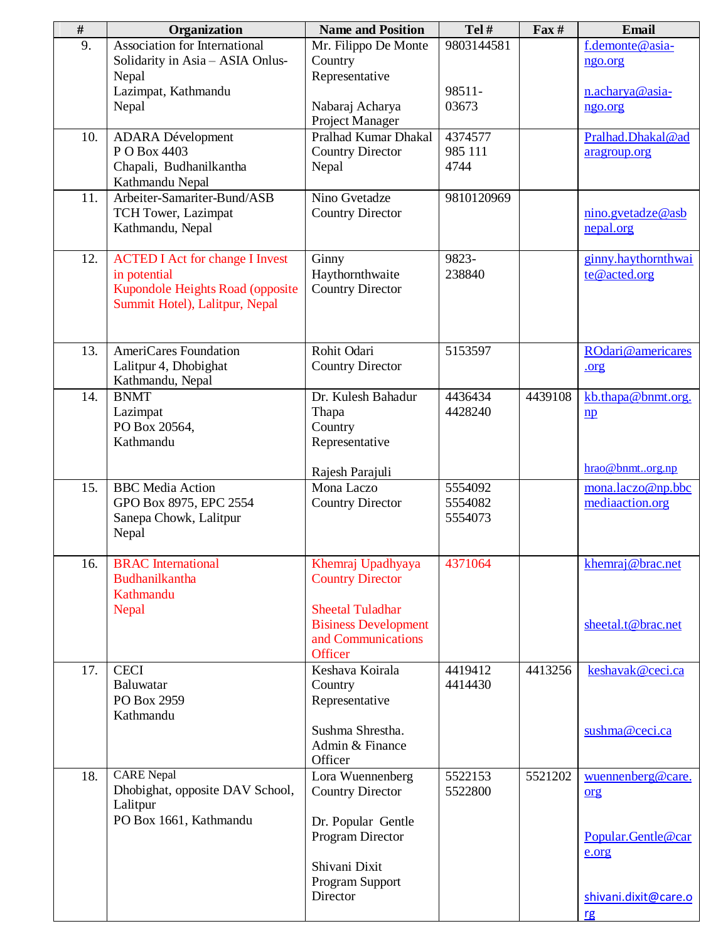| $\#$ | Organization                                                                                                                 | <b>Name and Position</b>                                                | Tel#               | $\Gamma$ ax# | <b>Email</b>                         |
|------|------------------------------------------------------------------------------------------------------------------------------|-------------------------------------------------------------------------|--------------------|--------------|--------------------------------------|
| 9.   | Association for International<br>Solidarity in Asia - ASIA Onlus-                                                            | Mr. Filippo De Monte<br>Country                                         | 9803144581         |              | f.demonte@asia-<br>ngo.org           |
|      | Nepal<br>Lazimpat, Kathmandu                                                                                                 | Representative                                                          | 98511-             |              | n.acharya@asia-                      |
|      | Nepal                                                                                                                        | Nabaraj Acharya<br>Project Manager                                      | 03673              |              | ngo.org                              |
| 10.  | <b>ADARA</b> Dévelopment<br>P O Box 4403                                                                                     | Pralhad Kumar Dhakal<br><b>Country Director</b>                         | 4374577<br>985 111 |              | Pralhad.Dhakal@ad<br>aragroup.org    |
|      | Chapali, Budhanilkantha<br>Kathmandu Nepal                                                                                   | Nepal                                                                   | 4744               |              |                                      |
| 11.  | Arbeiter-Samariter-Bund/ASB<br>TCH Tower, Lazimpat<br>Kathmandu, Nepal                                                       | Nino Gvetadze<br><b>Country Director</b>                                | 9810120969         |              | nino.gvetadze@asb<br>nepal.org       |
| 12.  | <b>ACTED I Act for change I Invest</b><br>in potential<br>Kupondole Heights Road (opposite<br>Summit Hotel), Lalitpur, Nepal | Ginny<br>Haythornthwaite<br><b>Country Director</b>                     | 9823-<br>238840    |              | ginny.haythornthwai<br>te@acted.org  |
| 13.  | AmeriCares Foundation<br>Lalitpur 4, Dhobighat<br>Kathmandu, Nepal                                                           | Rohit Odari<br><b>Country Director</b>                                  | 5153597            |              | ROdari@americares<br>.org            |
| 14.  | <b>BNMT</b><br>Lazimpat<br>PO Box 20564,<br>Kathmandu                                                                        | Dr. Kulesh Bahadur<br>Thapa<br>Country<br>Representative                | 4436434<br>4428240 | 4439108      | kb.thapa@bnmt.org.<br>$\mathbf{np}$  |
| 15.  | <b>BBC</b> Media Action                                                                                                      | Rajesh Parajuli<br>Mona Laczo                                           | 5554092            |              | hrao@bnmtorg.np<br>mona.laczo@np.bbc |
|      | GPO Box 8975, EPC 2554<br>Sanepa Chowk, Lalitpur<br>Nepal                                                                    | <b>Country Director</b>                                                 | 5554082<br>5554073 |              | mediaaction.org                      |
| 16.  | <b>BRAC</b> International<br>Budhanilkantha<br>Kathmandu<br>Nepal                                                            | Khemraj Upadhyaya<br><b>Country Director</b><br><b>Sheetal Tuladhar</b> | 4371064            |              | khemraj@brac.net                     |
|      |                                                                                                                              | <b>Bisiness Development</b><br>and Communications<br>Officer            |                    |              | sheetal.t@brac.net                   |
| 17.  | <b>CECI</b><br>Baluwatar<br>PO Box 2959<br>Kathmandu                                                                         | Keshava Koirala<br>Country<br>Representative                            | 4419412<br>4414430 | 4413256      | keshavak@ceci.ca                     |
|      |                                                                                                                              | Sushma Shrestha.<br>Admin & Finance<br>Officer                          |                    |              | sushma@ceci.ca                       |
| 18.  | <b>CARE</b> Nepal<br>Dhobighat, opposite DAV School,<br>Lalitpur                                                             | Lora Wuennenberg<br><b>Country Director</b>                             | 5522153<br>5522800 | 5521202      | wuennenberg@care.<br>org             |
|      | PO Box 1661, Kathmandu                                                                                                       | Dr. Popular Gentle<br>Program Director                                  |                    |              | Popular.Gentle@car<br>e.org          |
|      |                                                                                                                              | Shivani Dixit<br>Program Support                                        |                    |              |                                      |
|      |                                                                                                                              | Director                                                                |                    |              | shivani.dixit@care.o<br>rg           |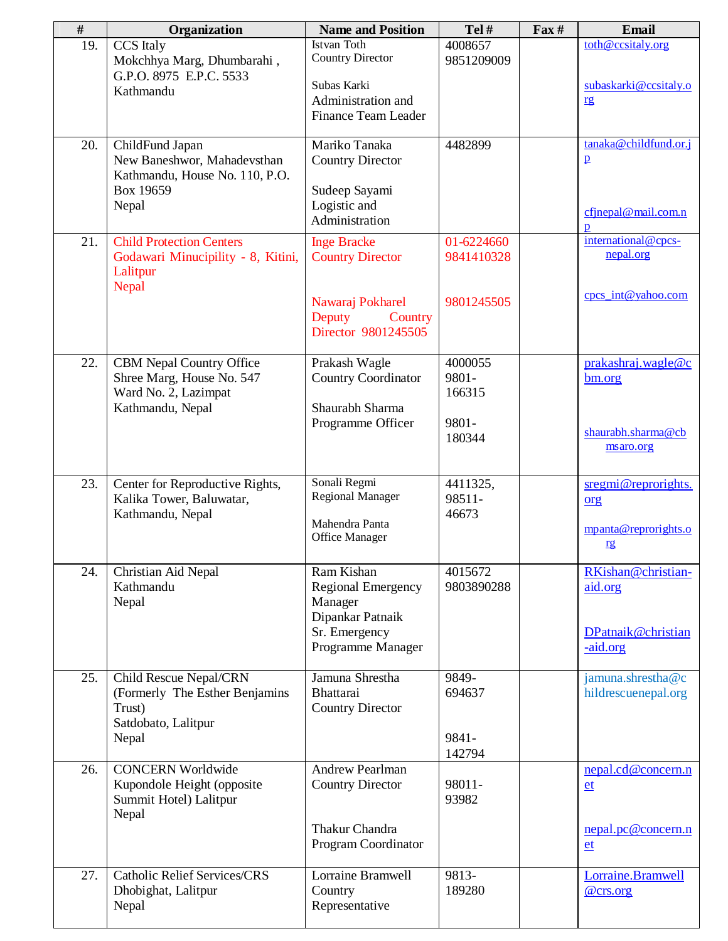| #   | Organization                                                                                             | <b>Name and Position</b>                                               | Tel#                       | $\textbf{Fax} \#$ | <b>Email</b>                             |
|-----|----------------------------------------------------------------------------------------------------------|------------------------------------------------------------------------|----------------------------|-------------------|------------------------------------------|
| 19. | <b>CCS</b> Italy<br>Mokchhya Marg, Dhumbarahi,<br>G.P.O. 8975 E.P.C. 5533                                | <b>Istvan Toth</b><br><b>Country Director</b>                          | 4008657<br>9851209009      |                   | toth@ccsitaly.org                        |
|     | Kathmandu                                                                                                | Subas Karki<br>Administration and<br>Finance Team Leader               |                            |                   | subaskarki@ccsitaly.o<br>rg              |
| 20. | ChildFund Japan<br>New Baneshwor, Mahadevsthan<br>Kathmandu, House No. 110, P.O.                         | Mariko Tanaka<br><b>Country Director</b>                               | 4482899                    |                   | tanaka@childfund.or.j<br>$\mathbf{p}$    |
|     | Box 19659<br>Nepal                                                                                       | Sudeep Sayami<br>Logistic and<br>Administration                        |                            |                   | cfjnepal@mail.com.n<br>$\mathbf{p}$      |
| 21. | <b>Child Protection Centers</b><br>Godawari Minucipility - 8, Kitini,<br>Lalitpur<br>Nepal               | <b>Inge Bracke</b><br><b>Country Director</b>                          | 01-6224660<br>9841410328   |                   | international@cpcs-<br>nepal.org         |
|     |                                                                                                          | Nawaraj Pokharel<br>Deputy<br>Country<br>Director 9801245505           | 9801245505                 |                   | cpcs_int@yahoo.com                       |
| 22. | <b>CBM Nepal Country Office</b><br>Shree Marg, House No. 547<br>Ward No. 2, Lazimpat<br>Kathmandu, Nepal | Prakash Wagle<br>Country Coordinator<br>Shaurabh Sharma                | 4000055<br>9801-<br>166315 |                   | prakashraj.wagle@c<br>bm.org             |
|     |                                                                                                          | Programme Officer                                                      | 9801-<br>180344            |                   | shaurabh.sharma@cb<br>msaro.org          |
| 23. | Center for Reproductive Rights,<br>Kalika Tower, Baluwatar,                                              | Sonali Regmi<br><b>Regional Manager</b>                                | 4411325,<br>98511-         |                   | sregmi@reprorights.<br>org               |
|     | Kathmandu, Nepal                                                                                         | Mahendra Panta<br>Office Manager                                       | 46673                      |                   | mpanta@reprorights.o<br>rg               |
| 24. | Christian Aid Nepal<br>Kathmandu<br>Nepal                                                                | Ram Kishan<br><b>Regional Emergency</b><br>Manager<br>Dipankar Patnaik | 4015672<br>9803890288      |                   | RKishan@christian-<br>aid.org            |
|     |                                                                                                          | Sr. Emergency<br>Programme Manager                                     |                            |                   | DPatnaik@christian<br>-aid.org           |
| 25. | Child Rescue Nepal/CRN<br>(Formerly The Esther Benjamins<br>Trust)<br>Satdobato, Lalitpur                | Jamuna Shrestha<br>Bhattarai<br><b>Country Director</b>                | 9849-<br>694637            |                   | jamuna.shrestha@c<br>hildrescuenepal.org |
|     | Nepal                                                                                                    |                                                                        | 9841-<br>142794            |                   |                                          |
| 26. | <b>CONCERN Worldwide</b><br>Kupondole Height (opposite<br>Summit Hotel) Lalitpur<br>Nepal                | <b>Andrew Pearlman</b><br><b>Country Director</b>                      | 98011-<br>93982            |                   | nepal.cd@concern.n<br>et                 |
|     |                                                                                                          | Thakur Chandra<br>Program Coordinator                                  |                            |                   | nepal.pc@concern.n<br>et                 |
| 27. | <b>Catholic Relief Services/CRS</b><br>Dhobighat, Lalitpur<br>Nepal                                      | Lorraine Bramwell<br>Country<br>Representative                         | 9813-<br>189280            |                   | Lorraine.Bramwell<br>@crs.org            |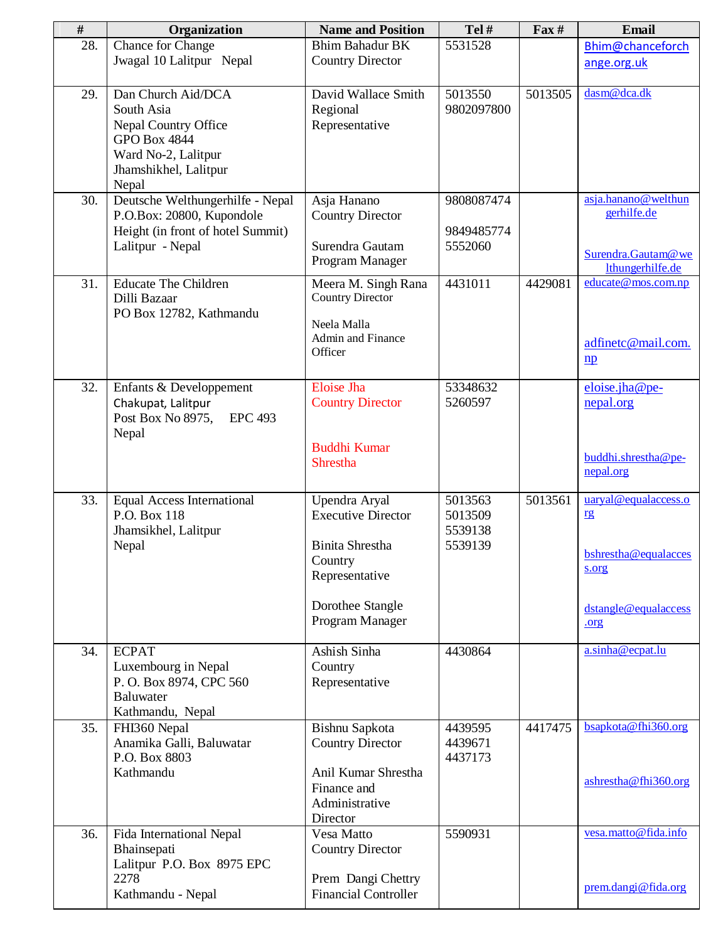| $\#$ | Organization                                                                                                                             | <b>Name and Position</b>                                                                                                                 | Tel#                                     | $\Gamma$ ax# | <b>Email</b>                                                                                |
|------|------------------------------------------------------------------------------------------------------------------------------------------|------------------------------------------------------------------------------------------------------------------------------------------|------------------------------------------|--------------|---------------------------------------------------------------------------------------------|
| 28.  | Chance for Change<br>Jwagal 10 Lalitpur Nepal                                                                                            | <b>Bhim Bahadur BK</b><br><b>Country Director</b>                                                                                        | 5531528                                  |              | Bhim@chanceforch<br>ange.org.uk                                                             |
| 29.  | Dan Church Aid/DCA<br>South Asia<br>Nepal Country Office<br><b>GPO Box 4844</b><br>Ward No-2, Lalitpur<br>Jhamshikhel, Lalitpur<br>Nepal | David Wallace Smith<br>Regional<br>Representative                                                                                        | 5013550<br>9802097800                    | 5013505      | dasm@dca.dk                                                                                 |
| 30.  | Deutsche Welthungerhilfe - Nepal<br>P.O.Box: 20800, Kupondole<br>Height (in front of hotel Summit)<br>Lalitpur - Nepal                   | Asja Hanano<br><b>Country Director</b><br>Surendra Gautam<br>Program Manager                                                             | 9808087474<br>9849485774<br>5552060      |              | asja.hanano@welthun<br>gerhilfe.de<br>Surendra.Gautam@we<br>lthungerhilfe.de                |
| 31.  | <b>Educate The Children</b><br>Dilli Bazaar<br>PO Box 12782, Kathmandu                                                                   | Meera M. Singh Rana<br><b>Country Director</b><br>Neela Malla<br>Admin and Finance<br>Officer                                            | 4431011                                  | 4429081      | educate@mos.com.np<br>adfinetc@mail.com.<br>$\mathbf{np}$                                   |
| 32.  | Enfants & Developpement<br>Chakupat, Lalitpur<br>Post Box No 8975,<br><b>EPC 493</b><br>Nepal                                            | <b>Eloise</b> Jha<br><b>Country Director</b><br><b>Buddhi Kumar</b><br>Shrestha                                                          | 53348632<br>5260597                      |              | eloise.jha@pe-<br>nepal.org<br>buddhi.shrestha@pe-<br>nepal.org                             |
| 33.  | <b>Equal Access International</b><br>P.O. Box 118<br>Jhamsikhel, Lalitpur<br>Nepal                                                       | Upendra Aryal<br><b>Executive Director</b><br><b>Binita Shrestha</b><br>Country<br>Representative<br>Dorothee Stangle<br>Program Manager | 5013563<br>5013509<br>5539138<br>5539139 | 5013561      | uaryal@equalaccess.o<br>rg<br>bshrestha@equalacces<br>s.org<br>dstangle@equalaccess<br>.org |
| 34.  | <b>ECPAT</b><br>Luxembourg in Nepal<br>P. O. Box 8974, CPC 560<br>Baluwater<br>Kathmandu, Nepal                                          | Ashish Sinha<br>Country<br>Representative                                                                                                | 4430864                                  |              | a.sinha@ecpat.lu                                                                            |
| 35.  | FHI360 Nepal<br>Anamika Galli, Baluwatar<br>P.O. Box 8803<br>Kathmandu                                                                   | Bishnu Sapkota<br><b>Country Director</b><br>Anil Kumar Shrestha<br>Finance and<br>Administrative<br>Director                            | 4439595<br>4439671<br>4437173            | 4417475      | bsapkota@fhi360.org<br>ashrestha@fhi360.org                                                 |
| 36.  | Fida International Nepal<br>Bhainsepati<br>Lalitpur P.O. Box 8975 EPC<br>2278<br>Kathmandu - Nepal                                       | Vesa Matto<br><b>Country Director</b><br>Prem Dangi Chettry<br><b>Financial Controller</b>                                               | 5590931                                  |              | vesa.matto@fida.info<br>prem.dangi@fida.org                                                 |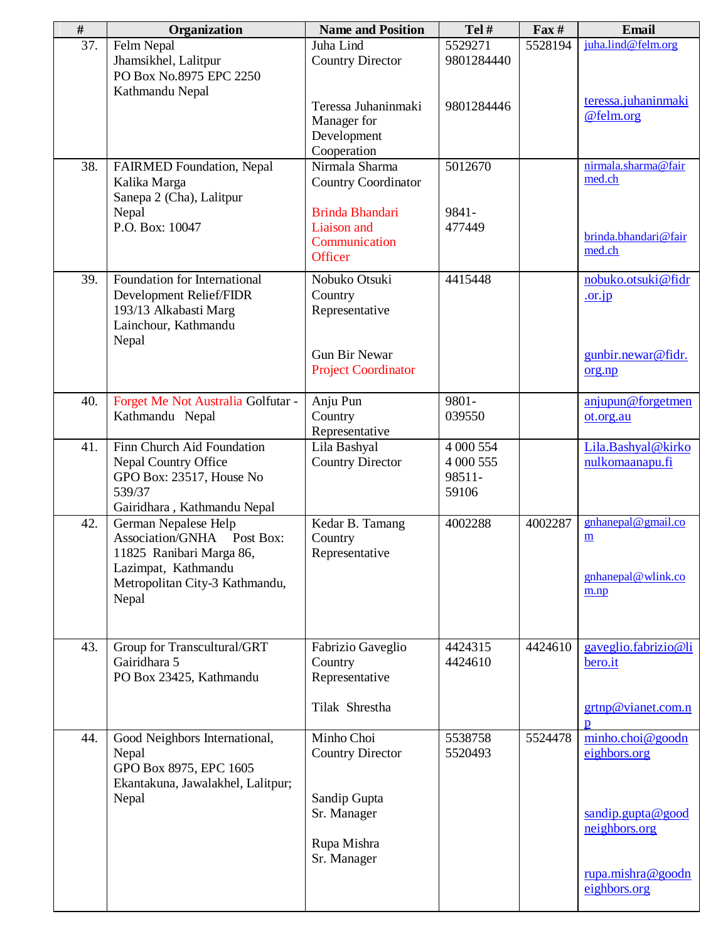| $\#$ | Organization                       | <b>Name and Position</b>   | Tel#       | $\Gamma$ ax# | Email                |
|------|------------------------------------|----------------------------|------------|--------------|----------------------|
| 37.  | Felm Nepal                         | Juha Lind                  | 5529271    | 5528194      | juha.lind@felm.org   |
|      | Jhamsikhel, Lalitpur               | <b>Country Director</b>    | 9801284440 |              |                      |
|      | PO Box No.8975 EPC 2250            |                            |            |              |                      |
|      | Kathmandu Nepal                    |                            |            |              |                      |
|      |                                    | Teressa Juhaninmaki        | 9801284446 |              | teressa.juhaninmaki  |
|      |                                    | Manager for                |            |              | @felm.org            |
|      |                                    | Development                |            |              |                      |
|      |                                    | Cooperation                |            |              |                      |
| 38.  | FAIRMED Foundation, Nepal          | Nirmala Sharma             | 5012670    |              | nirmala.sharma@fair  |
|      | Kalika Marga                       | <b>Country Coordinator</b> |            |              | med.ch               |
|      | Sanepa 2 (Cha), Lalitpur           |                            |            |              |                      |
|      | Nepal                              | <b>Brinda Bhandari</b>     | 9841-      |              |                      |
|      | P.O. Box: 10047                    | Liaison and                | 477449     |              |                      |
|      |                                    | Communication              |            |              | brinda.bhandari@fair |
|      |                                    | Officer                    |            |              | med.ch               |
|      |                                    |                            |            |              |                      |
| 39.  | Foundation for International       | Nobuko Otsuki              | 4415448    |              | nobuko.otsuki@fidr   |
|      | Development Relief/FIDR            | Country                    |            |              | $.$ or. $jp$         |
|      | 193/13 Alkabasti Marg              | Representative             |            |              |                      |
|      | Lainchour, Kathmandu               |                            |            |              |                      |
|      | Nepal                              |                            |            |              |                      |
|      |                                    | <b>Gun Bir Newar</b>       |            |              | gunbir.newar@fidr.   |
|      |                                    | <b>Project Coordinator</b> |            |              | org.np               |
|      |                                    |                            |            |              |                      |
| 40.  | Forget Me Not Australia Golfutar - | Anju Pun                   | 9801-      |              | anjupun@forgetmen    |
|      | Kathmandu Nepal                    | Country                    | 039550     |              | ot.org.au            |
|      |                                    | Representative             |            |              |                      |
| 41.  | Finn Church Aid Foundation         | Lila Bashyal               | 4 000 554  |              | Lila.Bashyal@kirko   |
|      | <b>Nepal Country Office</b>        | <b>Country Director</b>    | 4 000 555  |              | nulkomaanapu.fi      |
|      | GPO Box: 23517, House No           |                            | 98511-     |              |                      |
|      | 539/37                             |                            | 59106      |              |                      |
|      | Gairidhara, Kathmandu Nepal        |                            |            |              |                      |
| 42.  | German Nepalese Help               | Kedar B. Tamang            | 4002288    | 4002287      | gnhanepal@gmail.co   |
|      | Association/GNHA Post Box:         | Country                    |            |              | m                    |
|      | 11825 Ranibari Marga 86,           | Representative             |            |              |                      |
|      | Lazimpat, Kathmandu                |                            |            |              |                      |
|      | Metropolitan City-3 Kathmandu,     |                            |            |              | gnhanepal@wlink.co   |
|      | Nepal                              |                            |            |              | m,np                 |
|      |                                    |                            |            |              |                      |
|      |                                    |                            |            |              |                      |
| 43.  | Group for Transcultural/GRT        | Fabrizio Gaveglio          | 4424315    | 4424610      | gaveglio.fabrizio@li |
|      | Gairidhara 5                       | Country                    | 4424610    |              | bero.it              |
|      | PO Box 23425, Kathmandu            | Representative             |            |              |                      |
|      |                                    |                            |            |              |                      |
|      |                                    | Tilak Shrestha             |            |              | grtnp@vianet.com.n   |
|      |                                    |                            |            |              | $\mathbf{D}$         |
| 44.  | Good Neighbors International,      | Minho Choi                 | 5538758    | 5524478      | minho.choi@goodn     |
|      | Nepal                              | <b>Country Director</b>    | 5520493    |              | eighbors.org         |
|      | GPO Box 8975, EPC 1605             |                            |            |              |                      |
|      | Ekantakuna, Jawalakhel, Lalitpur;  |                            |            |              |                      |
|      | Nepal                              | Sandip Gupta               |            |              |                      |
|      |                                    | Sr. Manager                |            |              | sandip.gupta@good    |
|      |                                    |                            |            |              | neighbors.org        |
|      |                                    | Rupa Mishra                |            |              |                      |
|      |                                    | Sr. Manager                |            |              |                      |
|      |                                    |                            |            |              | rupa.mishra@goodn    |
|      |                                    |                            |            |              | eighbors.org         |
|      |                                    |                            |            |              |                      |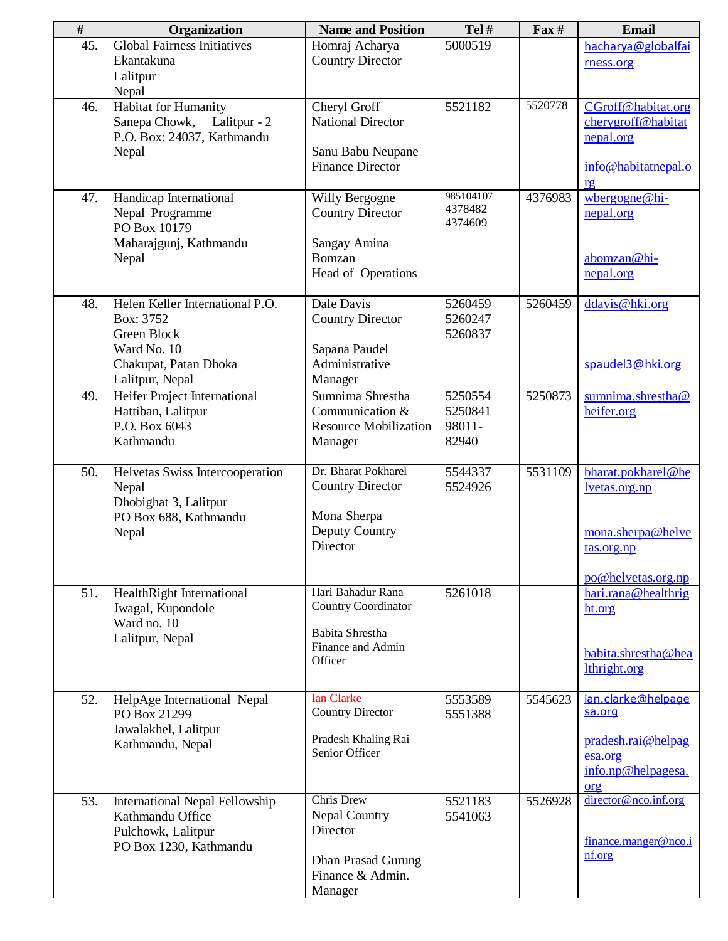| $\#$ | Organization                                                                                        | <b>Name and Position</b>                                                                                   | Tel#                                  | $\Gamma$ ax# | <b>Email</b>                                                                               |
|------|-----------------------------------------------------------------------------------------------------|------------------------------------------------------------------------------------------------------------|---------------------------------------|--------------|--------------------------------------------------------------------------------------------|
| 45.  | <b>Global Fairness Initiatives</b><br>Ekantakuna<br>Lalitpur                                        | Homraj Acharya<br><b>Country Director</b>                                                                  | 5000519                               |              | hacharya@globalfai<br>rness.org                                                            |
|      | Nepal                                                                                               |                                                                                                            |                                       |              |                                                                                            |
| 46.  | Habitat for Humanity<br>Sanepa Chowk, Lalitpur - 2<br>P.O. Box: 24037, Kathmandu<br>Nepal           | Cheryl Groff<br><b>National Director</b><br>Sanu Babu Neupane<br><b>Finance Director</b>                   | 5521182                               | 5520778      | CGroff@habitat.org<br>cherygroff@habitat<br>nepal.org<br>info@habitatnepal.o               |
|      |                                                                                                     |                                                                                                            | 985104107                             |              | rg                                                                                         |
| 47.  | Handicap International<br>Nepal Programme<br>PO Box 10179<br>Maharajgunj, Kathmandu<br>Nepal        | Willy Bergogne<br><b>Country Director</b><br>Sangay Amina<br>Bomzan                                        | 4378482<br>4374609                    | 4376983      | wbergogne@hi-<br>nepal.org<br>abomzan@hi-                                                  |
|      |                                                                                                     | Head of Operations                                                                                         |                                       |              | nepal.org                                                                                  |
| 48.  | Helen Keller International P.O.<br>Box: 3752<br>Green Block<br>Ward No. 10                          | Dale Davis<br><b>Country Director</b><br>Sapana Paudel                                                     | 5260459<br>5260247<br>5260837         | 5260459      | ddavis@hki.org                                                                             |
|      | Chakupat, Patan Dhoka<br>Lalitpur, Nepal                                                            | Administrative<br>Manager                                                                                  |                                       |              | spaudel3@hki.org                                                                           |
| 49.  | Heifer Project International<br>Hattiban, Lalitpur<br>P.O. Box 6043<br>Kathmandu                    | Sumnima Shrestha<br>Communication &<br><b>Resource Mobilization</b><br>Manager                             | 5250554<br>5250841<br>98011-<br>82940 | 5250873      | sumnima.shrestha@<br>heifer.org                                                            |
| 50.  | Helvetas Swiss Intercooperation<br>Nepal<br>Dhobighat 3, Lalitpur<br>PO Box 688, Kathmandu<br>Nepal | Dr. Bharat Pokharel<br><b>Country Director</b><br>Mona Sherpa<br>Deputy Country<br>Director                | 5544337<br>5524926                    | 5531109      | bharat.pokharel@he<br>lvetas.org.np<br>mona.sherpa@helve<br>tas.org.np                     |
| 51.  | HealthRight International<br>Jwagal, Kupondole<br>Ward no. 10<br>Lalitpur, Nepal                    | Hari Bahadur Rana<br>Country Coordinator<br><b>Babita Shrestha</b><br>Finance and Admin<br>Officer         | 5261018                               |              | po@helvetas.org.np<br>hari.rana@healthrig<br>ht.org<br>babita.shrestha@hea<br>lthright.org |
| 52.  | HelpAge International Nepal<br>PO Box 21299<br>Jawalakhel, Lalitpur<br>Kathmandu, Nepal             | <b>Ian Clarke</b><br><b>Country Director</b><br>Pradesh Khaling Rai<br>Senior Officer                      | 5553589<br>5551388                    | 5545623      | ian.clarke@helpage<br>sa.org<br>pradesh.rai@helpag<br>esa.org<br>info.np@helpagesa.<br>org |
| 53.  | International Nepal Fellowship<br>Kathmandu Office<br>Pulchowk, Lalitpur<br>PO Box 1230, Kathmandu  | Chris Drew<br><b>Nepal Country</b><br>Director<br><b>Dhan Prasad Gurung</b><br>Finance & Admin.<br>Manager | 5521183<br>5541063                    | 5526928      | director@nco.inf.org<br>finance.manger@nco.i<br>nf.org                                     |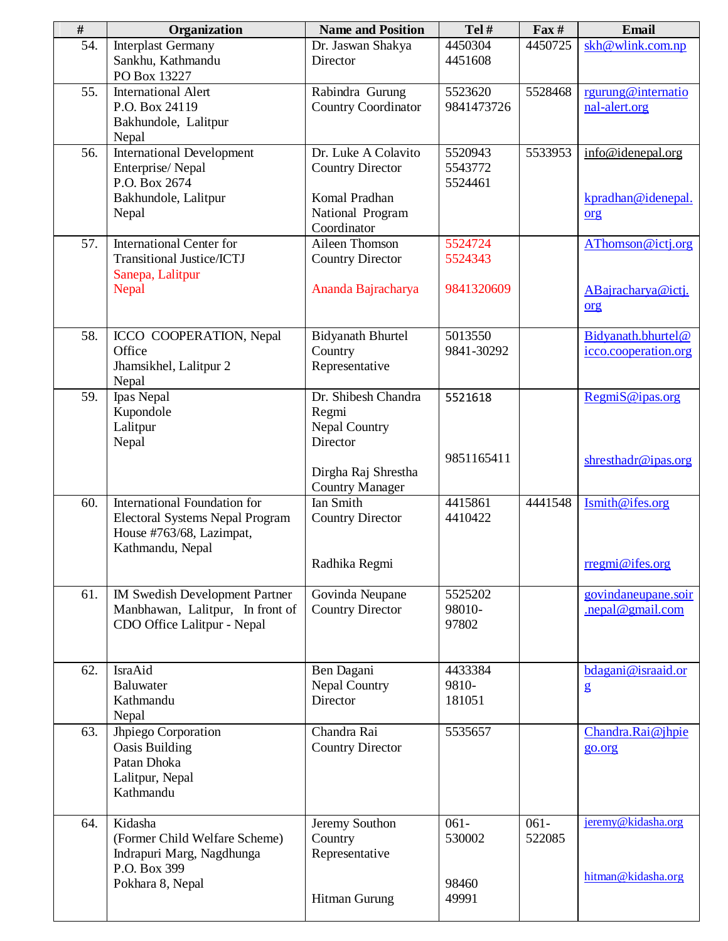| $\#$ | Organization                                                                                                           | <b>Name and Position</b>                                                                                          | Tel#                                | $\Gamma$ ax#      | <b>Email</b>                                   |
|------|------------------------------------------------------------------------------------------------------------------------|-------------------------------------------------------------------------------------------------------------------|-------------------------------------|-------------------|------------------------------------------------|
| 54.  | <b>Interplast Germany</b><br>Sankhu, Kathmandu<br>PO Box 13227                                                         | Dr. Jaswan Shakya<br>Director                                                                                     | 4450304<br>4451608                  | 4450725           | skh@wlink.com.np                               |
| 55.  | <b>International Alert</b><br>P.O. Box 24119<br>Bakhundole, Lalitpur<br>Nepal                                          | Rabindra Gurung<br><b>Country Coordinator</b>                                                                     | 5523620<br>9841473726               | 5528468           | rgurung@internatio<br>nal-alert.org            |
| 56.  | <b>International Development</b><br>Enterprise/Nepal<br>P.O. Box 2674<br>Bakhundole, Lalitpur<br>Nepal                 | Dr. Luke A Colavito<br><b>Country Director</b><br>Komal Pradhan<br>National Program<br>Coordinator                | 5520943<br>5543772<br>5524461       | 5533953           | info@idenepal.org<br>kpradhan@idenepal.<br>org |
| 57.  | <b>International Center for</b><br><b>Transitional Justice/ICTJ</b><br>Sanepa, Lalitpur<br>Nepal                       | Aileen Thomson<br><b>Country Director</b><br>Ananda Bajracharya                                                   | 5524724<br>5524343<br>9841320609    |                   | AThomson@ictj.org<br>ABajracharya@ictj.<br>org |
| 58.  | ICCO COOPERATION, Nepal<br>Office<br>Jhamsikhel, Lalitpur 2<br>Nepal                                                   | <b>Bidyanath Bhurtel</b><br>Country<br>Representative                                                             | 5013550<br>9841-30292               |                   | Bidyanath.bhurtel@<br>icco.cooperation.org     |
| 59.  | Ipas Nepal<br>Kupondole<br>Lalitpur<br>Nepal                                                                           | Dr. Shibesh Chandra<br>Regmi<br><b>Nepal Country</b><br>Director<br>Dirgha Raj Shrestha<br><b>Country Manager</b> | 5521618<br>9851165411               |                   | RegmiS@ipas.org<br>shresthadr@ipas.org         |
| 60.  | International Foundation for<br><b>Electoral Systems Nepal Program</b><br>House #763/68, Lazimpat,<br>Kathmandu, Nepal | <b>Ian Smith</b><br><b>Country Director</b><br>Radhika Regmi                                                      | 4415861<br>4410422                  | 4441548           | Ismith@ifes.org<br>$r$ regmi@ifes.org          |
| 61.  | IM Swedish Development Partner<br>Manbhawan, Lalitpur, In front of<br>CDO Office Lalitpur - Nepal                      | Govinda Neupane<br><b>Country Director</b>                                                                        | 5525202<br>98010-<br>97802          |                   | govindaneupane.soir<br>.nepal@gmail.com        |
| 62.  | IsraAid<br>Baluwater<br>Kathmandu<br>Nepal                                                                             | Ben Dagani<br><b>Nepal Country</b><br>Director                                                                    | 4433384<br>9810-<br>181051          |                   | bdagani@israaid.or<br>$\mathbf{g}$             |
| 63.  | Jhpiego Corporation<br><b>Oasis Building</b><br>Patan Dhoka<br>Lalitpur, Nepal<br>Kathmandu                            | Chandra Rai<br><b>Country Director</b>                                                                            | 5535657                             |                   | Chandra.Rai@jhpie<br>go.org                    |
| 64.  | Kidasha<br>(Former Child Welfare Scheme)<br>Indrapuri Marg, Nagdhunga<br>P.O. Box 399<br>Pokhara 8, Nepal              | Jeremy Southon<br>Country<br>Representative<br>Hitman Gurung                                                      | $061 -$<br>530002<br>98460<br>49991 | $061 -$<br>522085 | jeremy@kidasha.org<br>hitman@kidasha.org       |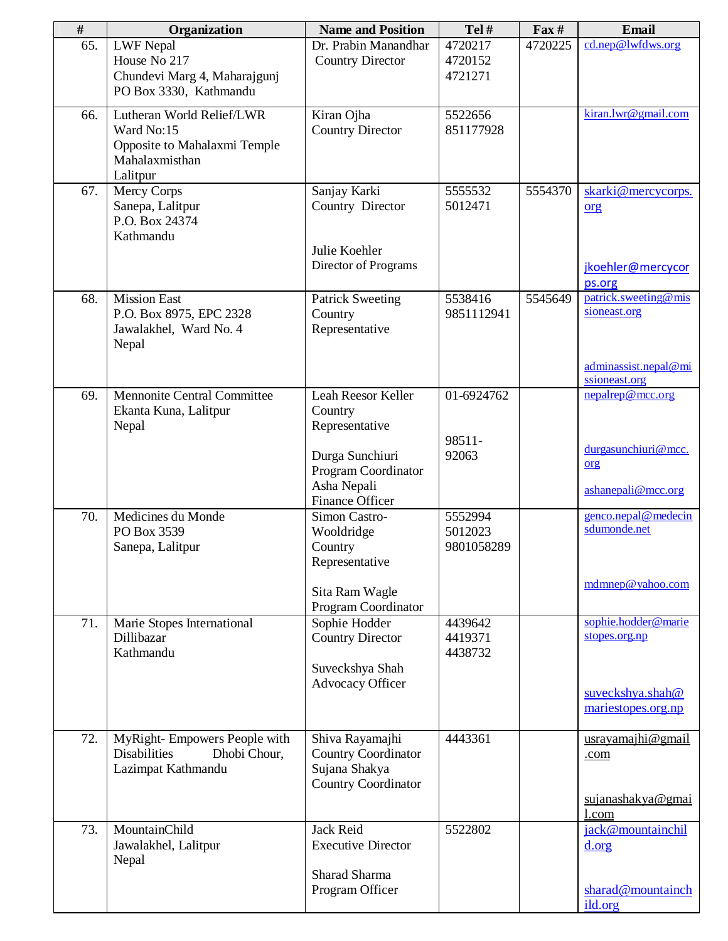| $\#$ | Organization                                                                                          | <b>Name and Position</b>                                                                                                    | Tel#                             | $\Gamma$ ax# | <b>Email</b>                                                                   |
|------|-------------------------------------------------------------------------------------------------------|-----------------------------------------------------------------------------------------------------------------------------|----------------------------------|--------------|--------------------------------------------------------------------------------|
| 65.  | <b>LWF Nepal</b><br>House No 217<br>Chundevi Marg 4, Maharajgunj<br>PO Box 3330, Kathmandu            | Dr. Prabin Manandhar<br><b>Country Director</b>                                                                             | 4720217<br>4720152<br>4721271    | 4720225      | cd.nep@lwfdws.org                                                              |
| 66.  | Lutheran World Relief/LWR<br>Ward No:15<br>Opposite to Mahalaxmi Temple<br>Mahalaxmisthan<br>Lalitpur | Kiran Ojha<br><b>Country Director</b>                                                                                       | 5522656<br>851177928             |              | kiran.lwr@gmail.com                                                            |
| 67.  | Mercy Corps<br>Sanepa, Lalitpur<br>P.O. Box 24374<br>Kathmandu                                        | Sanjay Karki<br>Country Director<br>Julie Koehler<br>Director of Programs                                                   | 5555532<br>5012471               | 5554370      | skarki@mercycorps.<br>org<br>jkoehler@mercycor<br>ps.org                       |
| 68.  | <b>Mission East</b><br>P.O. Box 8975, EPC 2328<br>Jawalakhel, Ward No. 4<br>Nepal                     | <b>Patrick Sweeting</b><br>Country<br>Representative                                                                        | 5538416<br>9851112941            | 5545649      | patrick.sweeting@mis<br>sioneast.org<br>adminassist.nepal@mi<br>ssioneast.org  |
| 69.  | <b>Mennonite Central Committee</b><br>Ekanta Kuna, Lalitpur<br>Nepal                                  | Leah Reesor Keller<br>Country<br>Representative<br>Durga Sunchiuri<br>Program Coordinator<br>Asha Nepali<br>Finance Officer | 01-6924762<br>98511-<br>92063    |              | nepalrep@mcc.org<br>durgasunchiuri@mcc.<br>org<br>ashanepali@mcc.org           |
| 70.  | Medicines du Monde<br>PO Box 3539<br>Sanepa, Lalitpur                                                 | Simon Castro-<br>Wooldridge<br>Country<br>Representative<br>Sita Ram Wagle<br>Program Coordinator                           | 5552994<br>5012023<br>9801058289 |              | genco.nepal@medecin<br>sdumonde.net<br>mdmnep@yahoo.com                        |
| 71.  | Marie Stopes International<br>Dillibazar<br>Kathmandu                                                 | Sophie Hodder<br><b>Country Director</b><br>Suveckshya Shah<br>Advocacy Officer                                             | 4439642<br>4419371<br>4438732    |              | sophie.hodder@marie<br>stopes.org.np<br>suveckshya.shah@<br>mariestopes.org.np |
| 72.  | MyRight-Empowers People with<br><b>Disabilities</b><br>Dhobi Chour,<br>Lazimpat Kathmandu             | Shiva Rayamajhi<br><b>Country Coordinator</b><br>Sujana Shakya<br>Country Coordinator                                       | 4443361                          |              | usrayamajhi@gmail<br>.com<br>sujanashakya@gmai<br>1.com                        |
| 73.  | MountainChild<br>Jawalakhel, Lalitpur<br>Nepal                                                        | Jack Reid<br><b>Executive Director</b><br>Sharad Sharma<br>Program Officer                                                  | 5522802                          |              | jack@mountainchil<br>d.org<br>sharad@mountainch<br>ild.org                     |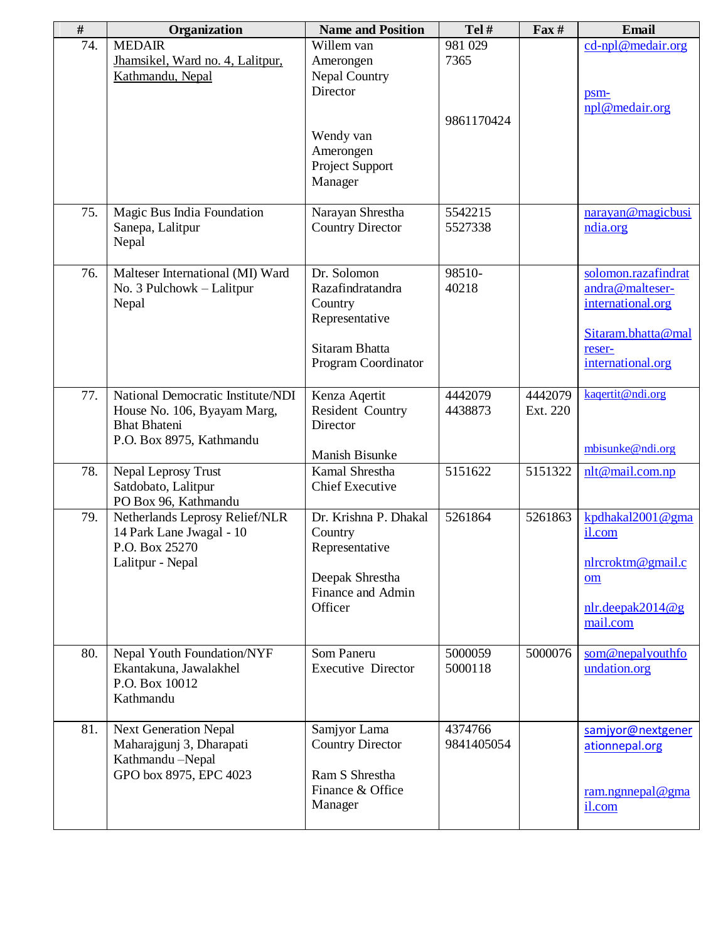| $\#$ | Organization                                                                                                        | <b>Name and Position</b>                                                                              | Tel#                  | $\Gamma$ ax#        | Email                                                                                                            |
|------|---------------------------------------------------------------------------------------------------------------------|-------------------------------------------------------------------------------------------------------|-----------------------|---------------------|------------------------------------------------------------------------------------------------------------------|
| 74.  | <b>MEDAIR</b><br>Jhamsikel, Ward no. 4, Lalitpur,<br>Kathmandu, Nepal                                               | Willem van<br>Amerongen<br>Nepal Country<br>Director                                                  | 981 029<br>7365       |                     | $cd$ -npl@medair.org<br>psm-<br>npl@medair.org                                                                   |
|      |                                                                                                                     | Wendy van<br>Amerongen<br>Project Support<br>Manager                                                  | 9861170424            |                     |                                                                                                                  |
| 75.  | Magic Bus India Foundation<br>Sanepa, Lalitpur<br>Nepal                                                             | Narayan Shrestha<br><b>Country Director</b>                                                           | 5542215<br>5527338    |                     | narayan@magicbusi<br>ndia.org                                                                                    |
| 76.  | Malteser International (MI) Ward<br>No. 3 Pulchowk - Lalitpur<br>Nepal                                              | Dr. Solomon<br>Razafindratandra<br>Country<br>Representative<br>Sitaram Bhatta<br>Program Coordinator | 98510-<br>40218       |                     | solomon.razafindrat<br>andra@malteser-<br>international.org<br>Sitaram.bhatta@mal<br>reser-<br>international.org |
| 77.  | National Democratic Institute/NDI<br>House No. 106, Byayam Marg,<br><b>Bhat Bhateni</b><br>P.O. Box 8975, Kathmandu | Kenza Aqertit<br>Resident Country<br>Director<br>Manish Bisunke                                       | 4442079<br>4438873    | 4442079<br>Ext. 220 | kaqertit@ndi.org<br>mbisunke@ndi.org                                                                             |
| 78.  | Nepal Leprosy Trust<br>Satdobato, Lalitpur<br>PO Box 96, Kathmandu                                                  | Kamal Shrestha<br><b>Chief Executive</b>                                                              | 5151622               | 5151322             | nlt@mail.com.np                                                                                                  |
| 79.  | Netherlands Leprosy Relief/NLR<br>14 Park Lane Jwagal - 10<br>P.O. Box 25270<br>Lalitpur - Nepal                    | Dr. Krishna P. Dhakal<br>Country<br>Representative<br>Deepak Shrestha<br>Finance and Admin<br>Officer | 5261864               | 5261863             | kpdhakal2001@gma<br>il.com<br>nlrcroktm@gmail.c<br><b>om</b><br>$n/r. decay$ deepak2014@g<br>mail.com            |
| 80.  | Nepal Youth Foundation/NYF<br>Ekantakuna, Jawalakhel<br>P.O. Box 10012<br>Kathmandu                                 | Som Paneru<br><b>Executive Director</b>                                                               | 5000059<br>5000118    | 5000076             | som@nepalyouthfo<br>undation.org                                                                                 |
| 81.  | <b>Next Generation Nepal</b><br>Maharajgunj 3, Dharapati<br>Kathmandu-Nepal<br>GPO box 8975, EPC 4023               | Samjyor Lama<br><b>Country Director</b><br>Ram S Shrestha<br>Finance & Office<br>Manager              | 4374766<br>9841405054 |                     | samjyor@nextgener<br>ationnepal.org<br>ram.ngnnepal@gma<br>il.com                                                |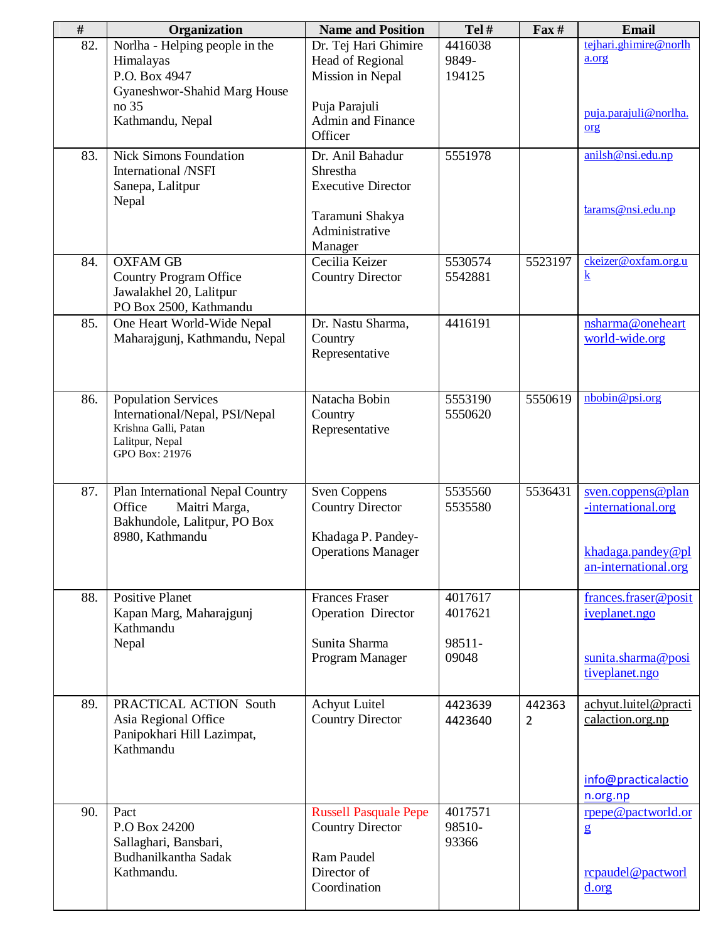| $\#$ | Organization                                                                                                              | <b>Name and Position</b>                                                                             | Tel#                                  | $\textbf{Fax} \#$        | Email                                                                                   |
|------|---------------------------------------------------------------------------------------------------------------------------|------------------------------------------------------------------------------------------------------|---------------------------------------|--------------------------|-----------------------------------------------------------------------------------------|
| 82.  | Norlha - Helping people in the<br>Himalayas<br>P.O. Box 4947<br>Gyaneshwor-Shahid Marg House                              | Dr. Tej Hari Ghimire<br>Head of Regional<br>Mission in Nepal                                         | 4416038<br>9849-<br>194125            |                          | tejhari.ghimire@norlh<br>a.org                                                          |
|      | no 35<br>Kathmandu, Nepal                                                                                                 | Puja Parajuli<br>Admin and Finance<br>Officer                                                        |                                       |                          | puja.parajuli@norlha.<br>org                                                            |
| 83.  | <b>Nick Simons Foundation</b><br>International /NSFI<br>Sanepa, Lalitpur<br>Nepal                                         | Dr. Anil Bahadur<br>Shrestha<br><b>Executive Director</b><br>Taramuni Shakya<br>Administrative       | 5551978                               |                          | anilsh@nsi.edu.np<br>tarams@nsi.edu.np                                                  |
| 84.  | <b>OXFAM GB</b><br><b>Country Program Office</b><br>Jawalakhel 20, Lalitpur<br>PO Box 2500, Kathmandu                     | Manager<br>Cecilia Keizer<br><b>Country Director</b>                                                 | 5530574<br>5542881                    | 5523197                  | ckeizer@oxfam.org.u<br>$\bf{k}$                                                         |
| 85.  | One Heart World-Wide Nepal<br>Maharajgunj, Kathmandu, Nepal                                                               | Dr. Nastu Sharma,<br>Country<br>Representative                                                       | 4416191                               |                          | nsharma@oneheart<br>world-wide.org                                                      |
| 86.  | <b>Population Services</b><br>International/Nepal, PSI/Nepal<br>Krishna Galli, Patan<br>Lalitpur, Nepal<br>GPO Box: 21976 | Natacha Bobin<br>Country<br>Representative                                                           | 5553190<br>5550620                    | 5550619                  | nbobin@psi.org                                                                          |
| 87.  | Plan International Nepal Country<br>Office<br>Maitri Marga,<br>Bakhundole, Lalitpur, PO Box<br>8980, Kathmandu            | <b>Sven Coppens</b><br><b>Country Director</b><br>Khadaga P. Pandey-<br><b>Operations Manager</b>    | 5535560<br>5535580                    | 5536431                  | sven.coppens@plan<br>-international.org<br>$k$ hadaga.pandey@pl<br>an-international.org |
| 88.  | <b>Positive Planet</b><br>Kapan Marg, Maharajgunj<br>Kathmandu<br>Nepal                                                   | <b>Frances Fraser</b><br><b>Operation Director</b><br>Sunita Sharma<br>Program Manager               | 4017617<br>4017621<br>98511-<br>09048 |                          | frances.fraser@posit<br>iveplanet.ngo<br>sunita.sharma@posi<br>tiveplanet.ngo           |
| 89.  | PRACTICAL ACTION South<br>Asia Regional Office<br>Panipokhari Hill Lazimpat,<br>Kathmandu                                 | <b>Achyut Luitel</b><br><b>Country Director</b>                                                      | 4423639<br>4423640                    | 442363<br>$\overline{2}$ | achyut.luitel@practi<br>calaction.org.np<br>info@practicalactio<br>n.org.np             |
| 90.  | Pact<br>P.O Box 24200<br>Sallaghari, Bansbari,<br>Budhanilkantha Sadak<br>Kathmandu.                                      | <b>Russell Pasquale Pepe</b><br><b>Country Director</b><br>Ram Paudel<br>Director of<br>Coordination | 4017571<br>98510-<br>93366            |                          | rpepe@pactworld.or<br>$\mathbf{g}$<br>rcpaudel@pactworl<br>d.org                        |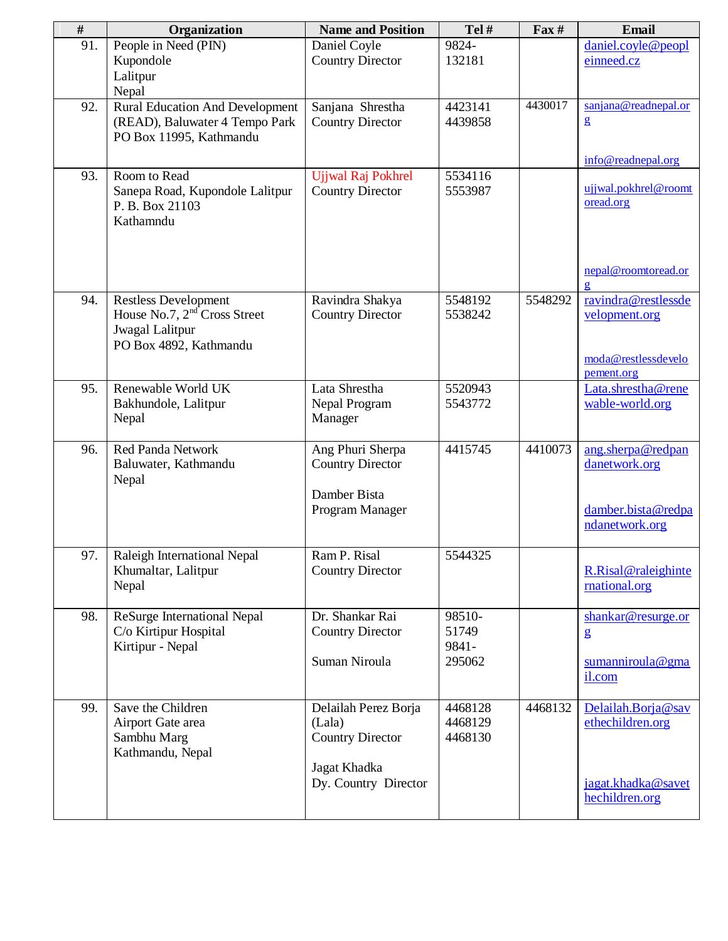| $\#$ | Organization                           | <b>Name and Position</b>          | Tel#               | $\text{Fax} \#$ | <b>Email</b>            |
|------|----------------------------------------|-----------------------------------|--------------------|-----------------|-------------------------|
| 91.  | People in Need (PIN)                   | Daniel Coyle                      | 9824-              |                 | daniel.coyle@peopl      |
|      | Kupondole                              | <b>Country Director</b>           | 132181             |                 | einneed.cz              |
|      | Lalitpur                               |                                   |                    |                 |                         |
|      | Nepal                                  |                                   |                    |                 |                         |
| 92.  | <b>Rural Education And Development</b> | Sanjana Shrestha                  | 4423141            | 4430017         | sanjana@readnepal.or    |
|      | (READ), Baluwater 4 Tempo Park         | <b>Country Director</b>           | 4439858            |                 | $\mathbf{g}$            |
|      | PO Box 11995, Kathmandu                |                                   |                    |                 |                         |
|      |                                        |                                   |                    |                 | info@readnepal.org      |
| 93.  | Room to Read                           | Ujjwal Raj Pokhrel                | 5534116            |                 |                         |
|      | Sanepa Road, Kupondole Lalitpur        | <b>Country Director</b>           | 5553987            |                 | ujjwal.pokhrel@roomt    |
|      | P. B. Box 21103                        |                                   |                    |                 | oread.org               |
|      | Kathamndu                              |                                   |                    |                 |                         |
|      |                                        |                                   |                    |                 |                         |
|      |                                        |                                   |                    |                 |                         |
|      |                                        |                                   |                    |                 | nepal@roomtoread.or     |
|      |                                        |                                   |                    |                 | $\overline{\mathbf{g}}$ |
| 94.  | <b>Restless Development</b>            | Ravindra Shakya                   | 5548192            | 5548292         | ravindra@restlessde     |
|      | House No.7, $2nd$ Cross Street         | <b>Country Director</b>           | 5538242            |                 | velopment.org           |
|      | Jwagal Lalitpur                        |                                   |                    |                 |                         |
|      | PO Box 4892, Kathmandu                 |                                   |                    |                 | moda@restlessdevelo     |
|      |                                        |                                   |                    |                 | pement.org              |
| 95.  | Renewable World UK                     | Lata Shrestha                     | 5520943            |                 | Lata.shrestha@rene      |
|      | Bakhundole, Lalitpur                   | Nepal Program                     | 5543772            |                 | wable-world.org         |
|      | Nepal                                  | Manager                           |                    |                 |                         |
|      |                                        |                                   |                    |                 |                         |
| 96.  | <b>Red Panda Network</b>               | Ang Phuri Sherpa                  | 4415745            | 4410073         | ang.sherpa@redpan       |
|      | Baluwater, Kathmandu                   | <b>Country Director</b>           |                    |                 | danetwork.org           |
|      | Nepal                                  |                                   |                    |                 |                         |
|      |                                        | Damber Bista                      |                    |                 |                         |
|      |                                        | Program Manager                   |                    |                 | damber.bista@redpa      |
|      |                                        |                                   |                    |                 | ndanetwork.org          |
| 97.  | Raleigh International Nepal            | Ram P. Risal                      | 5544325            |                 |                         |
|      | Khumaltar, Lalitpur                    | <b>Country Director</b>           |                    |                 | R.Risal@raleighinte     |
|      | Nepal                                  |                                   |                    |                 | mational.org            |
|      |                                        |                                   |                    |                 |                         |
| 98.  | ReSurge International Nepal            | Dr. Shankar Rai                   | 98510-             |                 | shankar@resurge.or      |
|      | C/o Kirtipur Hospital                  | <b>Country Director</b>           | 51749              |                 | $\mathbf{g}$            |
|      | Kirtipur - Nepal                       |                                   | 9841-              |                 |                         |
|      |                                        | Suman Niroula                     | 295062             |                 | sumanniroula@gma        |
|      |                                        |                                   |                    |                 | il.com                  |
|      |                                        |                                   |                    |                 |                         |
| 99.  | Save the Children                      | Delailah Perez Borja              | 4468128            | 4468132         | Delailah.Borja@sav      |
|      | Airport Gate area<br>Sambhu Marg       | (Lala)<br><b>Country Director</b> | 4468129<br>4468130 |                 | ethechildren.org        |
|      | Kathmandu, Nepal                       |                                   |                    |                 |                         |
|      |                                        | Jagat Khadka                      |                    |                 |                         |
|      |                                        | Dy. Country Director              |                    |                 | jagat.khadka@savet      |
|      |                                        |                                   |                    |                 | hechildren.org          |
|      |                                        |                                   |                    |                 |                         |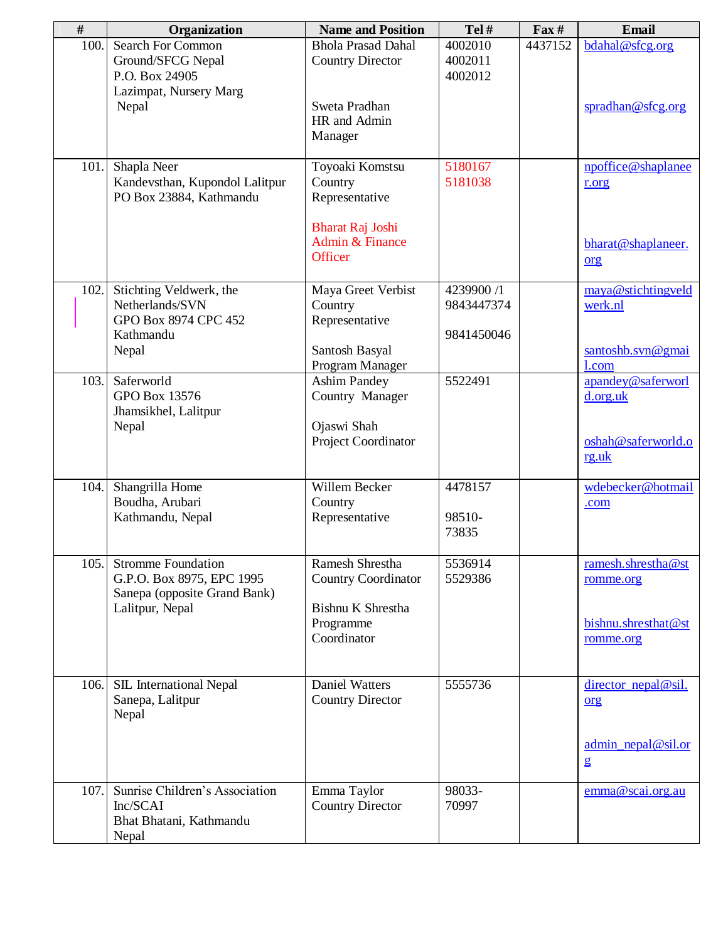| $\#$ | Organization                                                                                              | <b>Name and Position</b>                                                | Tel#                          | $\mathbf{Fax}$ # | <b>Email</b>                                                           |
|------|-----------------------------------------------------------------------------------------------------------|-------------------------------------------------------------------------|-------------------------------|------------------|------------------------------------------------------------------------|
| 100. | Search For Common<br>Ground/SFCG Nepal<br>P.O. Box 24905<br>Lazimpat, Nursery Marg                        | <b>Bhola Prasad Dahal</b><br><b>Country Director</b>                    | 4002010<br>4002011<br>4002012 | 4437152          | bdahal@sfcg.org                                                        |
|      | Nepal                                                                                                     | Sweta Pradhan<br>HR and Admin<br>Manager                                |                               |                  | spradhan@sfcg.org                                                      |
| 101. | Shapla Neer<br>Kandevsthan, Kupondol Lalitpur<br>PO Box 23884, Kathmandu                                  | Toyoaki Komstsu<br>Country<br>Representative<br><b>Bharat Raj Joshi</b> | 5180167<br>5181038            |                  | npoffice@shaplanee<br>r.org                                            |
|      |                                                                                                           | Admin & Finance<br>Officer                                              |                               |                  | bharat@shaplaneer.<br>$org$                                            |
| 102. | Stichting Veldwerk, the<br>Netherlands/SVN<br>GPO Box 8974 CPC 452                                        | Maya Greet Verbist<br>Country<br>Representative                         | 4239900 /1<br>9843447374      |                  | maya@stichtingveld<br>werk.nl                                          |
|      | Kathmandu<br>Nepal                                                                                        | Santosh Basyal<br>Program Manager                                       | 9841450046                    |                  | santoshb.svn@gmai<br>1.com                                             |
| 103. | Saferworld<br><b>GPO Box 13576</b><br>Jhamsikhel, Lalitpur<br>Nepal                                       | <b>Ashim Pandey</b><br>Country Manager<br>Ojaswi Shah                   | 5522491                       |                  | apandey@saferworl<br>d.org.uk                                          |
|      |                                                                                                           | Project Coordinator                                                     |                               |                  | oshah@saferworld.o<br>rg.uk                                            |
| 104. | Shangrilla Home<br>Boudha, Arubari<br>Kathmandu, Nepal                                                    | Willem Becker<br>Country<br>Representative                              | 4478157<br>98510-<br>73835    |                  | wdebecker@hotmail<br>.com                                              |
| 105. | <b>Stromme Foundation</b><br>G.P.O. Box 8975, EPC 1995<br>Sanepa (opposite Grand Bank)<br>Lalitpur, Nepal | Ramesh Shrestha<br><b>Country Coordinator</b><br>Bishnu K Shrestha      | 5536914<br>5529386            |                  | ramesh.shrestha@st<br>romme.org                                        |
|      |                                                                                                           | Programme<br>Coordinator                                                |                               |                  | bishnu.shresthat@st<br>romme.org                                       |
| 106. | SIL International Nepal<br>Sanepa, Lalitpur<br>Nepal                                                      | <b>Daniel Watters</b><br><b>Country Director</b>                        | 5555736                       |                  | director_nepal@sil.<br>org<br>$\underline{\text{admin\_nepal@sil.or}}$ |
|      |                                                                                                           |                                                                         |                               |                  | $\mathbf{g}$                                                           |
| 107. | Sunrise Children's Association<br>Inc/SCAI<br>Bhat Bhatani, Kathmandu<br>Nepal                            | Emma Taylor<br><b>Country Director</b>                                  | 98033-<br>70997               |                  | emma@scai.org.au                                                       |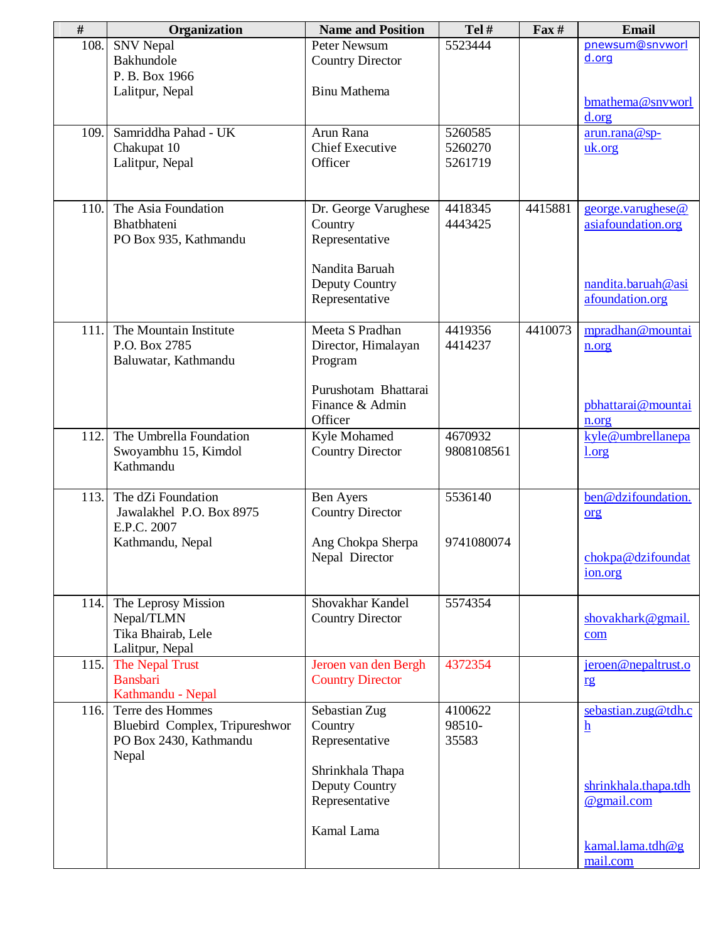| #    | Organization                   | <b>Name and Position</b> | Tel#       | $\Gamma$ ax# | <b>Email</b>             |
|------|--------------------------------|--------------------------|------------|--------------|--------------------------|
| 108. | <b>SNV</b> Nepal               | Peter Newsum             | 5523444    |              | pnewsum@snvworl          |
|      | Bakhundole                     | <b>Country Director</b>  |            |              | d.org                    |
|      | P. B. Box 1966                 |                          |            |              |                          |
|      | Lalitpur, Nepal                | <b>Binu Mathema</b>      |            |              |                          |
|      |                                |                          |            |              | bmathema@snvworl         |
|      |                                |                          |            |              | d.org                    |
| 109. | Samriddha Pahad - UK           | Arun Rana                | 5260585    |              | arun.rana@sp-            |
|      | Chakupat 10                    | <b>Chief Executive</b>   | 5260270    |              | uk.org                   |
|      | Lalitpur, Nepal                | Officer                  | 5261719    |              |                          |
|      |                                |                          |            |              |                          |
|      |                                |                          |            |              |                          |
| 110. | The Asia Foundation            | Dr. George Varughese     | 4418345    | 4415881      | george.varughese@        |
|      | Bhatbhateni                    | Country                  | 4443425    |              | asiafoundation.org       |
|      | PO Box 935, Kathmandu          | Representative           |            |              |                          |
|      |                                |                          |            |              |                          |
|      |                                | Nandita Baruah           |            |              |                          |
|      |                                | Deputy Country           |            |              | nandita.baruah@asi       |
|      |                                | Representative           |            |              | afoundation.org          |
|      |                                |                          |            |              |                          |
| 111. | The Mountain Institute         | Meeta S Pradhan          | 4419356    | 4410073      | mpradhan@mountai         |
|      | P.O. Box 2785                  | Director, Himalayan      | 4414237    |              | n.org                    |
|      | Baluwatar, Kathmandu           | Program                  |            |              |                          |
|      |                                |                          |            |              |                          |
|      |                                | Purushotam Bhattarai     |            |              |                          |
|      |                                | Finance & Admin          |            |              | pbhattarai@mountai       |
|      |                                | Officer                  |            |              | n.org                    |
| 112. | The Umbrella Foundation        | Kyle Mohamed             | 4670932    |              | kyle@umbrellanepa        |
|      | Swoyambhu 15, Kimdol           | <b>Country Director</b>  | 9808108561 |              | 1.org                    |
|      | Kathmandu                      |                          |            |              |                          |
|      |                                |                          |            |              |                          |
| 113. | The dZi Foundation             | <b>Ben Ayers</b>         | 5536140    |              | ben@dzifoundation.       |
|      | Jawalakhel P.O. Box 8975       | <b>Country Director</b>  |            |              | org                      |
|      | E.P.C. 2007                    |                          |            |              |                          |
|      | Kathmandu, Nepal               | Ang Chokpa Sherpa        | 9741080074 |              |                          |
|      |                                | Nepal Director           |            |              | chokpa@dzifoundat        |
|      |                                |                          |            |              | <u>ion.org</u>           |
|      |                                |                          |            |              |                          |
|      | 114. The Leprosy Mission       | Shovakhar Kandel         | 5574354    |              |                          |
|      | Nepal/TLMN                     | <b>Country Director</b>  |            |              | shovakhark@gmail.        |
|      | Tika Bhairab, Lele             |                          |            |              | com                      |
|      | Lalitpur, Nepal                |                          |            |              |                          |
| 115. | The Nepal Trust                | Jeroen van den Bergh     | 4372354    |              | jeroen@nepaltrust.o      |
|      | <b>Bansbari</b>                | <b>Country Director</b>  |            |              | rg                       |
|      | Kathmandu - Nepal              |                          |            |              |                          |
| 116. | Terre des Hommes               | Sebastian Zug            | 4100622    |              | sebastian.zug@tdh.c      |
|      | Bluebird Complex, Tripureshwor | Country                  | 98510-     |              | $\underline{\mathbf{h}}$ |
|      | PO Box 2430, Kathmandu         | Representative           | 35583      |              |                          |
|      | Nepal                          |                          |            |              |                          |
|      |                                | Shrinkhala Thapa         |            |              |                          |
|      |                                | Deputy Country           |            |              | shrinkhala.thapa.tdh     |
|      |                                | Representative           |            |              | @gmail.com               |
|      |                                |                          |            |              |                          |
|      |                                | Kamal Lama               |            |              |                          |
|      |                                |                          |            |              | kamal.lama.tdh@g         |
|      |                                |                          |            |              | mail.com                 |
|      |                                |                          |            |              |                          |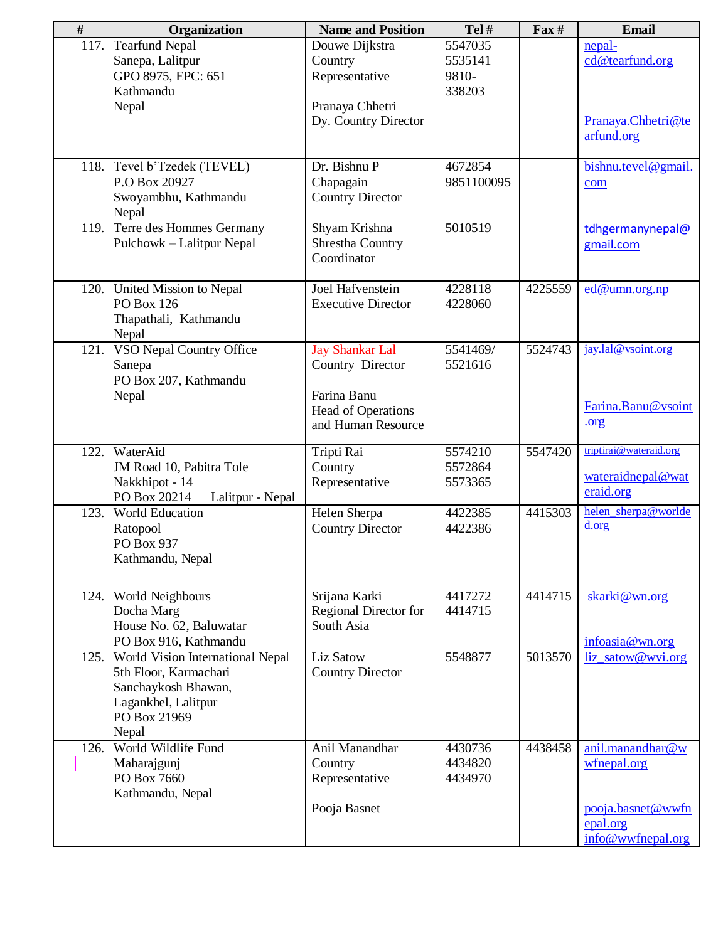| $\#$ | Organization                                                                                                                     | <b>Name and Position</b>                                                                                     | Tel#                                  | $\Gamma$ ax# | Email                                                    |
|------|----------------------------------------------------------------------------------------------------------------------------------|--------------------------------------------------------------------------------------------------------------|---------------------------------------|--------------|----------------------------------------------------------|
| 117. | <b>Tearfund Nepal</b><br>Sanepa, Lalitpur<br>GPO 8975, EPC: 651<br>Kathmandu<br>Nepal                                            | Douwe Dijkstra<br>Country<br>Representative<br>Pranaya Chhetri<br>Dy. Country Director                       | 5547035<br>5535141<br>9810-<br>338203 |              | nepal-<br>cd@tearfund.org<br>Pranaya.Chhetri@te          |
|      |                                                                                                                                  |                                                                                                              |                                       |              | arfund.org                                               |
| 118. | Tevel b'Tzedek (TEVEL)<br>P.O Box 20927<br>Swoyambhu, Kathmandu<br>Nepal                                                         | Dr. Bishnu P<br>Chapagain<br><b>Country Director</b>                                                         | 4672854<br>9851100095                 |              | bishnu.tevel@gmail.<br>com                               |
| 119. | Terre des Hommes Germany<br>Pulchowk - Lalitpur Nepal                                                                            | Shyam Krishna<br>Shrestha Country<br>Coordinator                                                             | 5010519                               |              | tdhgermanynepal@<br>gmail.com                            |
| 120. | United Mission to Nepal<br><b>PO Box 126</b><br>Thapathali, Kathmandu<br>Nepal                                                   | Joel Hafvenstein<br><b>Executive Director</b>                                                                | 4228118<br>4228060                    | 4225559      | ed@umn.org.np                                            |
| 121. | VSO Nepal Country Office<br>Sanepa<br>PO Box 207, Kathmandu<br>Nepal                                                             | <b>Jay Shankar Lal</b><br>Country Director<br>Farina Banu<br><b>Head of Operations</b><br>and Human Resource | 5541469/<br>5521616                   | 5524743      | jay.lal@vsoint.org<br>Farina.Banu@vsoint<br>.org         |
| 122. | WaterAid<br>JM Road 10, Pabitra Tole<br>Nakkhipot - 14<br>PO Box 20214<br>Lalitpur - Nepal                                       | Tripti Rai<br>Country<br>Representative                                                                      | 5574210<br>5572864<br>5573365         | 5547420      | triptirai@wateraid.org<br>wateraidnepal@wat<br>eraid.org |
| 123. | World Education<br>Ratopool<br>PO Box 937<br>Kathmandu, Nepal                                                                    | Helen Sherpa<br><b>Country Director</b>                                                                      | 4422385<br>4422386                    | 4415303      | helen_sherpa@worlde<br>d.org                             |
| 124. | World Neighbours<br>Docha Marg<br>House No. 62, Baluwatar<br>PO Box 916, Kathmandu                                               | Srijana Karki<br>Regional Director for<br>South Asia                                                         | 4417272<br>4414715                    | 4414715      | skarki@wn.org<br>infoasia@wn.org                         |
| 125. | World Vision International Nepal<br>5th Floor, Karmachari<br>Sanchaykosh Bhawan,<br>Lagankhel, Lalitpur<br>PO Box 21969<br>Nepal | Liz Satow<br><b>Country Director</b>                                                                         | 5548877                               | 5013570      | liz_satow@wvi.org                                        |
| 126. | World Wildlife Fund<br>Maharajgunj<br>PO Box 7660<br>Kathmandu, Nepal                                                            | Anil Manandhar<br>Country<br>Representative<br>Pooja Basnet                                                  | 4430736<br>4434820<br>4434970         | 4438458      | anil.manandhar@w<br>wfnepal.org<br>pooja.basnet@wwfn     |
|      |                                                                                                                                  |                                                                                                              |                                       |              | epal.org<br>info@wwfnepal.org                            |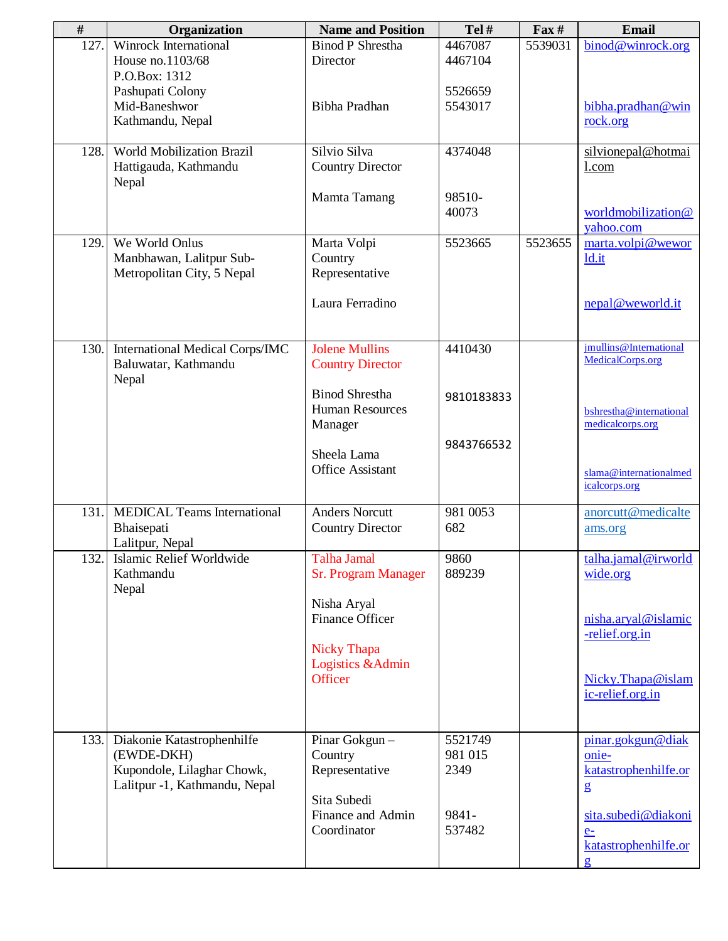| #    | Organization                                                                                            | <b>Name and Position</b>                                    | Tel#                       | $\mathbf{F}$ ax # | <b>Email</b>                                                          |
|------|---------------------------------------------------------------------------------------------------------|-------------------------------------------------------------|----------------------------|-------------------|-----------------------------------------------------------------------|
| 127. | Winrock International<br>House no.1103/68<br>P.O.Box: 1312                                              | <b>Binod P Shrestha</b><br>Director                         | 4467087<br>4467104         | 5539031           | binod@winrock.org                                                     |
|      | Pashupati Colony<br>Mid-Baneshwor<br>Kathmandu, Nepal                                                   | <b>Bibha Pradhan</b>                                        | 5526659<br>5543017         |                   | bibha.pradhan@win<br>rock.org                                         |
| 128. | <b>World Mobilization Brazil</b><br>Hattigauda, Kathmandu<br>Nepal                                      | Silvio Silva<br><b>Country Director</b>                     | 4374048                    |                   | silvionepal@hotmai<br>1.com                                           |
|      |                                                                                                         | Mamta Tamang                                                | 98510-<br>40073            |                   | worldmobilization@<br>yahoo.com                                       |
| 129. | We World Onlus<br>Manbhawan, Lalitpur Sub-<br>Metropolitan City, 5 Nepal                                | Marta Volpi<br>Country<br>Representative                    | 5523665                    | 5523655           | marta.volpi@wewor<br>ld.it                                            |
|      |                                                                                                         | Laura Ferradino                                             |                            |                   | nepal@weworld.it                                                      |
| 130. | <b>International Medical Corps/IMC</b><br>Baluwatar, Kathmandu<br>Nepal                                 | <b>Jolene Mullins</b><br><b>Country Director</b>            | 4410430                    |                   | jmullins@International<br>MedicalCorps.org                            |
|      |                                                                                                         | <b>Binod Shrestha</b><br><b>Human Resources</b><br>Manager  | 9810183833                 |                   | bshrestha@international<br>medicalcorps.org                           |
|      |                                                                                                         | Sheela Lama<br><b>Office Assistant</b>                      | 9843766532                 |                   | slama@internationalmed<br>icalcorps.org                               |
| 131. | <b>MEDICAL Teams International</b><br>Bhaisepati<br>Lalitpur, Nepal                                     | <b>Anders Norcutt</b><br><b>Country Director</b>            | 981 0053<br>682            |                   | anorcutt@medicalte<br>ams.org                                         |
| 132. | Islamic Relief Worldwide<br>Kathmandu<br>Nepal                                                          | Talha Jamal<br><b>Sr. Program Manager</b>                   | 9860<br>889239             |                   | talha.jamal@irworld<br>wide.org                                       |
|      |                                                                                                         | Nisha Aryal<br><b>Finance Officer</b><br><b>Nicky Thapa</b> |                            |                   | nisha.aryal@islamic<br>-relief.org.in                                 |
|      |                                                                                                         | Logistics & Admin<br>Officer                                |                            |                   | Nicky.Thapa@islam<br>ic-relief.org.in                                 |
| 133. | Diakonie Katastrophenhilfe<br>(EWDE-DKH)<br>Kupondole, Lilaghar Chowk,<br>Lalitpur -1, Kathmandu, Nepal | Pinar Gokgun-<br>Country<br>Representative                  | 5521749<br>981 015<br>2349 |                   | pinar.gokgun@diak<br>onie-<br>katastrophenhilfe.or<br>$\mathbf{g}$    |
|      |                                                                                                         | Sita Subedi<br>Finance and Admin<br>Coordinator             | 9841-<br>537482            |                   | sita.subedi@diakoni<br>$e-$<br>katastrophenhilfe.or<br>$\overline{2}$ |